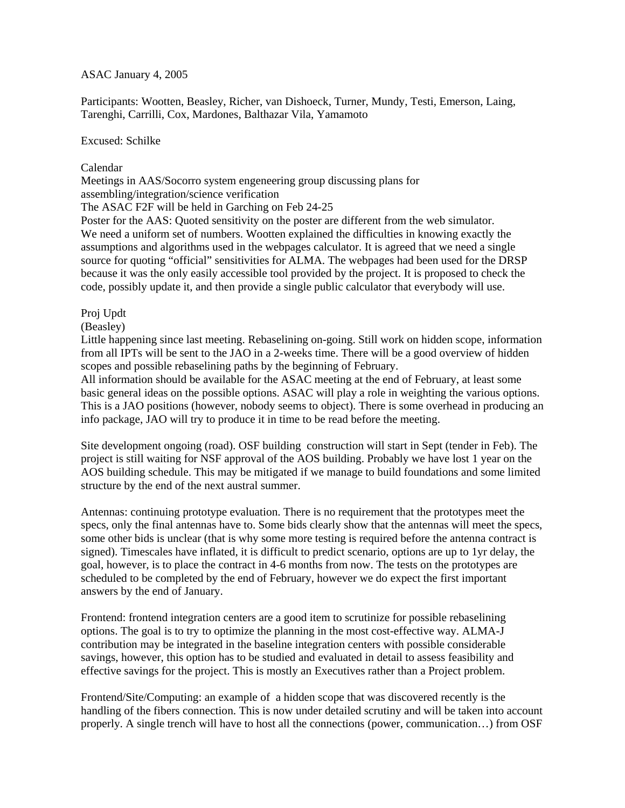## ASAC January 4, 2005

Participants: Wootten, Beasley, Richer, van Dishoeck, Turner, Mundy, Testi, Emerson, Laing, Tarenghi, Carrilli, Cox, Mardones, Balthazar Vila, Yamamoto

Excused: Schilke

# Calendar

Meetings in AAS/Socorro system engeneering group discussing plans for assembling/integration/science verification The ASAC F2F will be held in Garching on Feb 24-25

Poster for the AAS: Quoted sensitivity on the poster are different from the web simulator. We need a uniform set of numbers. Wootten explained the difficulties in knowing exactly the assumptions and algorithms used in the webpages calculator. It is agreed that we need a single source for quoting "official" sensitivities for ALMA. The webpages had been used for the DRSP because it was the only easily accessible tool provided by the project. It is proposed to check the code, possibly update it, and then provide a single public calculator that everybody will use.

## Proj Updt

(Beasley)

Little happening since last meeting. Rebaselining on-going. Still work on hidden scope, information from all IPTs will be sent to the JAO in a 2-weeks time. There will be a good overview of hidden scopes and possible rebaselining paths by the beginning of February.

All information should be available for the ASAC meeting at the end of February, at least some basic general ideas on the possible options. ASAC will play a role in weighting the various options. This is a JAO positions (however, nobody seems to object). There is some overhead in producing an info package, JAO will try to produce it in time to be read before the meeting.

Site development ongoing (road). OSF building construction will start in Sept (tender in Feb). The project is still waiting for NSF approval of the AOS building. Probably we have lost 1 year on the AOS building schedule. This may be mitigated if we manage to build foundations and some limited structure by the end of the next austral summer.

Antennas: continuing prototype evaluation. There is no requirement that the prototypes meet the specs, only the final antennas have to. Some bids clearly show that the antennas will meet the specs, some other bids is unclear (that is why some more testing is required before the antenna contract is signed). Timescales have inflated, it is difficult to predict scenario, options are up to 1yr delay, the goal, however, is to place the contract in 4-6 months from now. The tests on the prototypes are scheduled to be completed by the end of February, however we do expect the first important answers by the end of January.

Frontend: frontend integration centers are a good item to scrutinize for possible rebaselining options. The goal is to try to optimize the planning in the most cost-effective way. ALMA-J contribution may be integrated in the baseline integration centers with possible considerable savings, however, this option has to be studied and evaluated in detail to assess feasibility and effective savings for the project. This is mostly an Executives rather than a Project problem.

Frontend/Site/Computing: an example of a hidden scope that was discovered recently is the handling of the fibers connection. This is now under detailed scrutiny and will be taken into account properly. A single trench will have to host all the connections (power, communication…) from OSF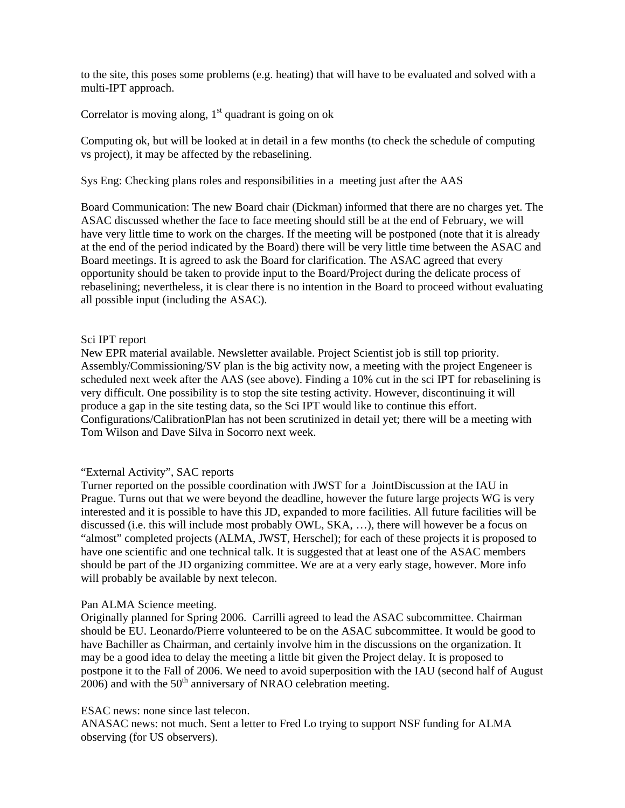to the site, this poses some problems (e.g. heating) that will have to be evaluated and solved with a multi-IPT approach.

Correlator is moving along,  $1<sup>st</sup>$  quadrant is going on ok

Computing ok, but will be looked at in detail in a few months (to check the schedule of computing vs project), it may be affected by the rebaselining.

Sys Eng: Checking plans roles and responsibilities in a meeting just after the AAS

Board Communication: The new Board chair (Dickman) informed that there are no charges yet. The ASAC discussed whether the face to face meeting should still be at the end of February, we will have very little time to work on the charges. If the meeting will be postponed (note that it is already at the end of the period indicated by the Board) there will be very little time between the ASAC and Board meetings. It is agreed to ask the Board for clarification. The ASAC agreed that every opportunity should be taken to provide input to the Board/Project during the delicate process of rebaselining; nevertheless, it is clear there is no intention in the Board to proceed without evaluating all possible input (including the ASAC).

### Sci IPT report

New EPR material available. Newsletter available. Project Scientist job is still top priority. Assembly/Commissioning/SV plan is the big activity now, a meeting with the project Engeneer is scheduled next week after the AAS (see above). Finding a 10% cut in the sci IPT for rebaselining is very difficult. One possibility is to stop the site testing activity. However, discontinuing it will produce a gap in the site testing data, so the Sci IPT would like to continue this effort. Configurations/CalibrationPlan has not been scrutinized in detail yet; there will be a meeting with Tom Wilson and Dave Silva in Socorro next week.

### "External Activity", SAC reports

Turner reported on the possible coordination with JWST for a JointDiscussion at the IAU in Prague. Turns out that we were beyond the deadline, however the future large projects WG is very interested and it is possible to have this JD, expanded to more facilities. All future facilities will be discussed (i.e. this will include most probably OWL, SKA, …), there will however be a focus on "almost" completed projects (ALMA, JWST, Herschel); for each of these projects it is proposed to have one scientific and one technical talk. It is suggested that at least one of the ASAC members should be part of the JD organizing committee. We are at a very early stage, however. More info will probably be available by next telecon.

#### Pan ALMA Science meeting.

Originally planned for Spring 2006. Carrilli agreed to lead the ASAC subcommittee. Chairman should be EU. Leonardo/Pierre volunteered to be on the ASAC subcommittee. It would be good to have Bachiller as Chairman, and certainly involve him in the discussions on the organization. It may be a good idea to delay the meeting a little bit given the Project delay. It is proposed to postpone it to the Fall of 2006. We need to avoid superposition with the IAU (second half of August  $2006$ ) and with the  $50<sup>th</sup>$  anniversary of NRAO celebration meeting.

#### ESAC news: none since last telecon.

ANASAC news: not much. Sent a letter to Fred Lo trying to support NSF funding for ALMA observing (for US observers).